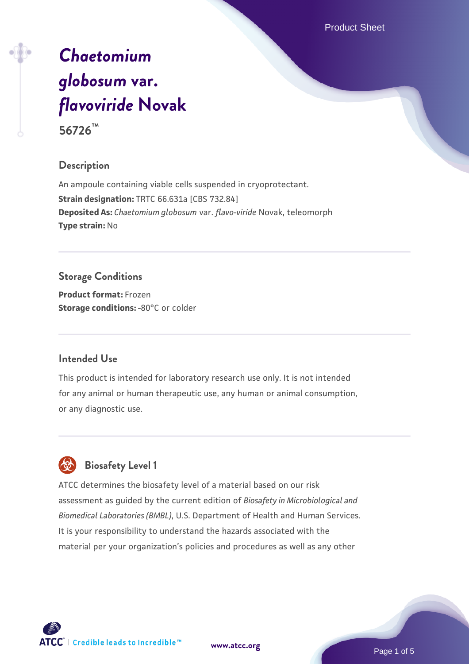Product Sheet

# *[Chaetomium](https://www.atcc.org/products/56726) [globosum](https://www.atcc.org/products/56726)* **[var.](https://www.atcc.org/products/56726)** *[flavoviride](https://www.atcc.org/products/56726)* **[Novak](https://www.atcc.org/products/56726) 56726™**

**Description**

An ampoule containing viable cells suspended in cryoprotectant. **Strain designation:** TRTC 66.631a [CBS 732.84] **Deposited As:** *Chaetomium globosum* var. *flavo-viride* Novak, teleomorph **Type strain:** No

# **Storage Conditions**

**Product format:** Frozen **Storage conditions: -80°C** or colder

# **Intended Use**

This product is intended for laboratory research use only. It is not intended for any animal or human therapeutic use, any human or animal consumption, or any diagnostic use.



# **Biosafety Level 1**

ATCC determines the biosafety level of a material based on our risk assessment as guided by the current edition of *Biosafety in Microbiological and Biomedical Laboratories (BMBL)*, U.S. Department of Health and Human Services. It is your responsibility to understand the hazards associated with the material per your organization's policies and procedures as well as any other



**[www.atcc.org](http://www.atcc.org)**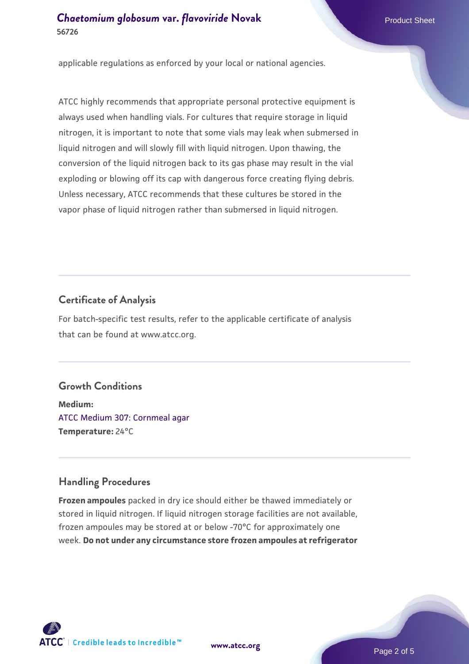applicable regulations as enforced by your local or national agencies.

ATCC highly recommends that appropriate personal protective equipment is always used when handling vials. For cultures that require storage in liquid nitrogen, it is important to note that some vials may leak when submersed in liquid nitrogen and will slowly fill with liquid nitrogen. Upon thawing, the conversion of the liquid nitrogen back to its gas phase may result in the vial exploding or blowing off its cap with dangerous force creating flying debris. Unless necessary, ATCC recommends that these cultures be stored in the vapor phase of liquid nitrogen rather than submersed in liquid nitrogen.

# **Certificate of Analysis**

For batch-specific test results, refer to the applicable certificate of analysis that can be found at www.atcc.org.

# **Growth Conditions**

**Medium:**  [ATCC Medium 307: Cornmeal agar](https://www.atcc.org/-/media/product-assets/documents/microbial-media-formulations/3/0/7/atcc-medium-307.pdf?rev=5cd8aaa5fcde44f5873396cc2a06f590) **Temperature:** 24°C

# **Handling Procedures**

**Frozen ampoules** packed in dry ice should either be thawed immediately or stored in liquid nitrogen. If liquid nitrogen storage facilities are not available, frozen ampoules may be stored at or below -70°C for approximately one week. **Do not under any circumstance store frozen ampoules at refrigerator**

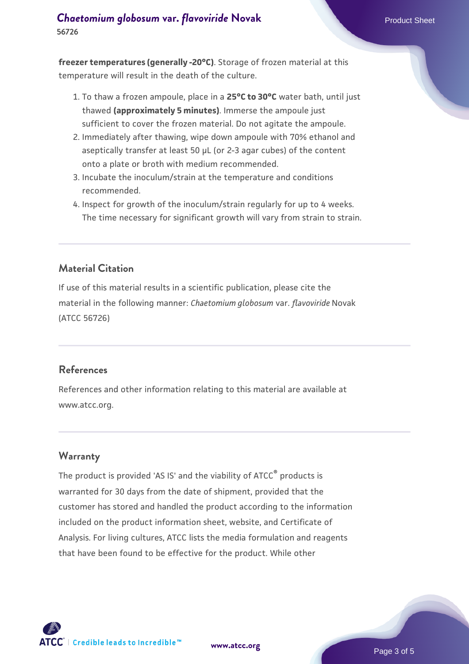#### *[Chaetomium globosum](https://www.atcc.org/products/56726)* **[var.](https://www.atcc.org/products/56726)** *flavoviride* **[Novak](https://www.atcc.org/products/56726)<br>
Product Sheet 56726**

**freezer temperatures (generally -20°C)**. Storage of frozen material at this temperature will result in the death of the culture.

- 1. To thaw a frozen ampoule, place in a **25°C to 30°C** water bath, until just thawed **(approximately 5 minutes)**. Immerse the ampoule just sufficient to cover the frozen material. Do not agitate the ampoule.
- 2. Immediately after thawing, wipe down ampoule with 70% ethanol and aseptically transfer at least 50 µL (or 2-3 agar cubes) of the content onto a plate or broth with medium recommended.
- 3. Incubate the inoculum/strain at the temperature and conditions recommended.
- 4. Inspect for growth of the inoculum/strain regularly for up to 4 weeks. The time necessary for significant growth will vary from strain to strain.

### **Material Citation**

If use of this material results in a scientific publication, please cite the material in the following manner: *Chaetomium globosum* var. *flavoviride* Novak (ATCC 56726)

#### **References**

References and other information relating to this material are available at www.atcc.org.

#### **Warranty**

The product is provided 'AS IS' and the viability of ATCC<sup>®</sup> products is warranted for 30 days from the date of shipment, provided that the customer has stored and handled the product according to the information included on the product information sheet, website, and Certificate of Analysis. For living cultures, ATCC lists the media formulation and reagents that have been found to be effective for the product. While other



**[www.atcc.org](http://www.atcc.org)**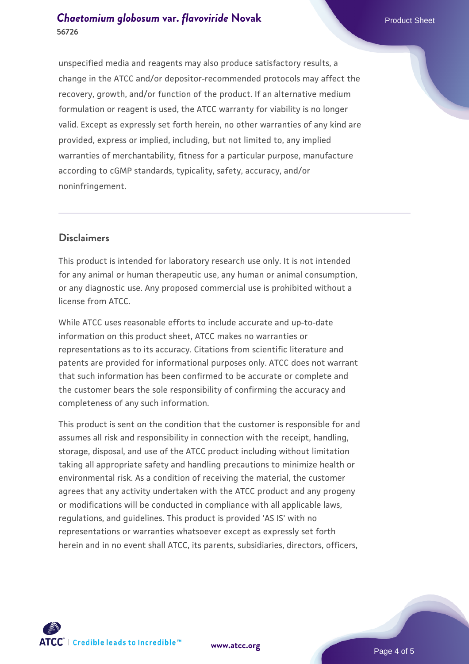# *[Chaetomium globosum](https://www.atcc.org/products/56726)* **[var.](https://www.atcc.org/products/56726)** *flavoviride* **[Novak](https://www.atcc.org/products/56726)<br>
Product Sheet 56726**

unspecified media and reagents may also produce satisfactory results, a change in the ATCC and/or depositor-recommended protocols may affect the recovery, growth, and/or function of the product. If an alternative medium formulation or reagent is used, the ATCC warranty for viability is no longer valid. Except as expressly set forth herein, no other warranties of any kind are provided, express or implied, including, but not limited to, any implied warranties of merchantability, fitness for a particular purpose, manufacture according to cGMP standards, typicality, safety, accuracy, and/or noninfringement.

#### **Disclaimers**

This product is intended for laboratory research use only. It is not intended for any animal or human therapeutic use, any human or animal consumption, or any diagnostic use. Any proposed commercial use is prohibited without a license from ATCC.

While ATCC uses reasonable efforts to include accurate and up-to-date information on this product sheet, ATCC makes no warranties or representations as to its accuracy. Citations from scientific literature and patents are provided for informational purposes only. ATCC does not warrant that such information has been confirmed to be accurate or complete and the customer bears the sole responsibility of confirming the accuracy and completeness of any such information.

This product is sent on the condition that the customer is responsible for and assumes all risk and responsibility in connection with the receipt, handling, storage, disposal, and use of the ATCC product including without limitation taking all appropriate safety and handling precautions to minimize health or environmental risk. As a condition of receiving the material, the customer agrees that any activity undertaken with the ATCC product and any progeny or modifications will be conducted in compliance with all applicable laws, regulations, and guidelines. This product is provided 'AS IS' with no representations or warranties whatsoever except as expressly set forth herein and in no event shall ATCC, its parents, subsidiaries, directors, officers,